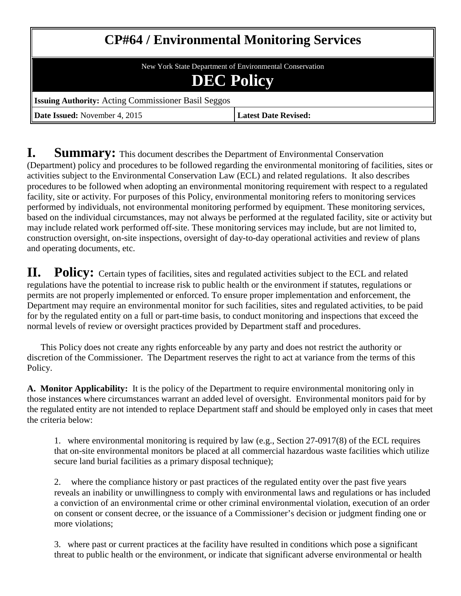# **CP#64 / Environmental Monitoring Services**

New York State Department of Environmental Conservation

## **DEC Policy**

**Issuing Authority:** Acting Commissioner Basil Seggos

**Date Issued:** November 4, 2015 **Latest Date Revised:** 

**I.** Summary: This document describes the Department of Environmental Conservation (Department) policy and procedures to be followed regarding the environmental monitoring of facilities, sites or activities subject to the Environmental Conservation Law (ECL) and related regulations. It also describes procedures to be followed when adopting an environmental monitoring requirement with respect to a regulated facility, site or activity. For purposes of this Policy, environmental monitoring refers to monitoring services performed by individuals, not environmental monitoring performed by equipment. These monitoring services, based on the individual circumstances, may not always be performed at the regulated facility, site or activity but may include related work performed off-site. These monitoring services may include, but are not limited to, construction oversight, on-site inspections, oversight of day-to-day operational activities and review of plans and operating documents, etc.

**II. Policy:** Certain types of facilities, sites and regulated activities subject to the ECL and related regulations have the potential to increase risk to public health or the environment if statutes, regulations or permits are not properly implemented or enforced. To ensure proper implementation and enforcement, the Department may require an environmental monitor for such facilities, sites and regulated activities, to be paid for by the regulated entity on a full or part-time basis, to conduct monitoring and inspections that exceed the normal levels of review or oversight practices provided by Department staff and procedures.

This Policy does not create any rights enforceable by any party and does not restrict the authority or discretion of the Commissioner. The Department reserves the right to act at variance from the terms of this Policy.

**A. Monitor Applicability:** It is the policy of the Department to require environmental monitoring only in those instances where circumstances warrant an added level of oversight. Environmental monitors paid for by the regulated entity are not intended to replace Department staff and should be employed only in cases that meet the criteria below:

1. where environmental monitoring is required by law (e.g., Section 27-0917(8) of the ECL requires that on-site environmental monitors be placed at all commercial hazardous waste facilities which utilize secure land burial facilities as a primary disposal technique);

2. where the compliance history or past practices of the regulated entity over the past five years reveals an inability or unwillingness to comply with environmental laws and regulations or has included a conviction of an environmental crime or other criminal environmental violation, execution of an order on consent or consent decree, or the issuance of a Commissioner's decision or judgment finding one or more violations;

3. where past or current practices at the facility have resulted in conditions which pose a significant threat to public health or the environment, or indicate that significant adverse environmental or health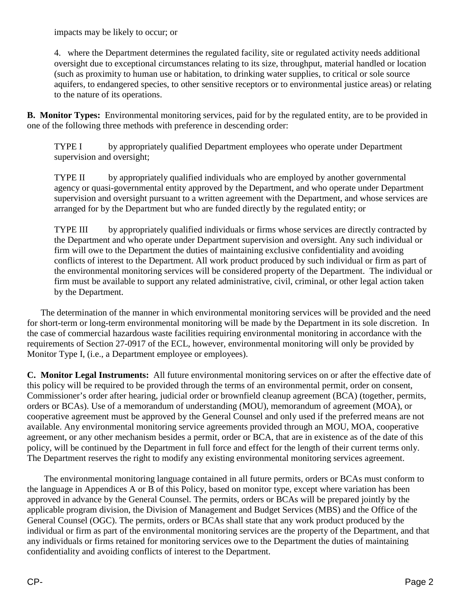impacts may be likely to occur; or

4. where the Department determines the regulated facility, site or regulated activity needs additional oversight due to exceptional circumstances relating to its size, throughput, material handled or location (such as proximity to human use or habitation, to drinking water supplies, to critical or sole source aquifers, to endangered species, to other sensitive receptors or to environmental justice areas) or relating to the nature of its operations.

**B. Monitor Types:** Environmental monitoring services, paid for by the regulated entity, are to be provided in one of the following three methods with preference in descending order:

TYPE I by appropriately qualified Department employees who operate under Department supervision and oversight;

TYPE II by appropriately qualified individuals who are employed by another governmental agency or quasi-governmental entity approved by the Department, and who operate under Department supervision and oversight pursuant to a written agreement with the Department, and whose services are arranged for by the Department but who are funded directly by the regulated entity; or

TYPE III by appropriately qualified individuals or firms whose services are directly contracted by the Department and who operate under Department supervision and oversight. Any such individual or firm will owe to the Department the duties of maintaining exclusive confidentiality and avoiding conflicts of interest to the Department. All work product produced by such individual or firm as part of the environmental monitoring services will be considered property of the Department. The individual or firm must be available to support any related administrative, civil, criminal, or other legal action taken by the Department.

The determination of the manner in which environmental monitoring services will be provided and the need for short-term or long-term environmental monitoring will be made by the Department in its sole discretion. In the case of commercial hazardous waste facilities requiring environmental monitoring in accordance with the requirements of Section 27-0917 of the ECL, however, environmental monitoring will only be provided by Monitor Type I, (i.e., a Department employee or employees).

**C. Monitor Legal Instruments:** All future environmental monitoring services on or after the effective date of this policy will be required to be provided through the terms of an environmental permit, order on consent, Commissioner's order after hearing, judicial order or brownfield cleanup agreement (BCA) (together, permits, orders or BCAs). Use of a memorandum of understanding (MOU), memorandum of agreement (MOA), or cooperative agreement must be approved by the General Counsel and only used if the preferred means are not available. Any environmental monitoring service agreements provided through an MOU, MOA, cooperative agreement, or any other mechanism besides a permit, order or BCA, that are in existence as of the date of this policy, will be continued by the Department in full force and effect for the length of their current terms only. The Department reserves the right to modify any existing environmental monitoring services agreement.

The environmental monitoring language contained in all future permits, orders or BCAs must conform to the language in Appendices A or B of this Policy, based on monitor type, except where variation has been approved in advance by the General Counsel. The permits, orders or BCAs will be prepared jointly by the applicable program division, the Division of Management and Budget Services (MBS) and the Office of the General Counsel (OGC). The permits, orders or BCAs shall state that any work product produced by the individual or firm as part of the environmental monitoring services are the property of the Department, and that any individuals or firms retained for monitoring services owe to the Department the duties of maintaining confidentiality and avoiding conflicts of interest to the Department.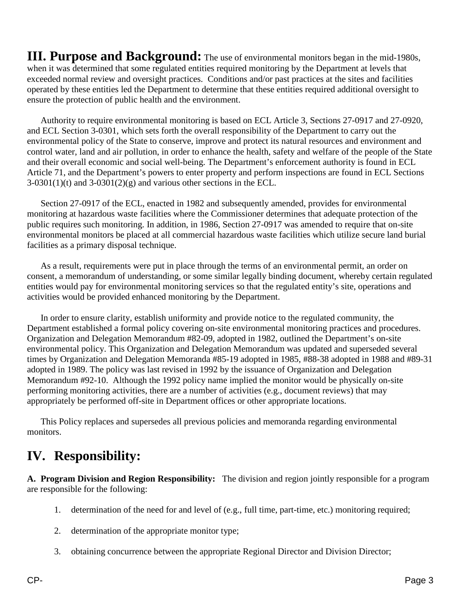**III. Purpose and Background:** The use of environmental monitors began in the mid-1980s, when it was determined that some regulated entities required monitoring by the Department at levels that exceeded normal review and oversight practices. Conditions and/or past practices at the sites and facilities operated by these entities led the Department to determine that these entities required additional oversight to ensure the protection of public health and the environment.

Authority to require environmental monitoring is based on ECL Article 3, Sections 27-0917 and 27-0920, and ECL Section 3-0301, which sets forth the overall responsibility of the Department to carry out the environmental policy of the State to conserve, improve and protect its natural resources and environment and control water, land and air pollution, in order to enhance the health, safety and welfare of the people of the State and their overall economic and social well-being. The Department's enforcement authority is found in ECL Article 71, and the Department's powers to enter property and perform inspections are found in ECL Sections  $3-0301(1)(t)$  and  $3-0301(2)(g)$  and various other sections in the ECL.

Section 27-0917 of the ECL, enacted in 1982 and subsequently amended, provides for environmental monitoring at hazardous waste facilities where the Commissioner determines that adequate protection of the public requires such monitoring. In addition, in 1986, Section 27-0917 was amended to require that on-site environmental monitors be placed at all commercial hazardous waste facilities which utilize secure land burial facilities as a primary disposal technique.

As a result, requirements were put in place through the terms of an environmental permit, an order on consent, a memorandum of understanding, or some similar legally binding document, whereby certain regulated entities would pay for environmental monitoring services so that the regulated entity's site, operations and activities would be provided enhanced monitoring by the Department.

In order to ensure clarity, establish uniformity and provide notice to the regulated community, the Department established a formal policy covering on-site environmental monitoring practices and procedures. Organization and Delegation Memorandum #82-09, adopted in 1982, outlined the Department's on-site environmental policy. This Organization and Delegation Memorandum was updated and superseded several times by Organization and Delegation Memoranda #85-19 adopted in 1985, #88-38 adopted in 1988 and #89-31 adopted in 1989. The policy was last revised in 1992 by the issuance of Organization and Delegation Memorandum #92-10. Although the 1992 policy name implied the monitor would be physically on-site performing monitoring activities, there are a number of activities (e.g., document reviews) that may appropriately be performed off-site in Department offices or other appropriate locations.

This Policy replaces and supersedes all previous policies and memoranda regarding environmental monitors.

## **IV. Responsibility:**

**A. Program Division and Region Responsibility:** The division and region jointly responsible for a program are responsible for the following:

- 1. determination of the need for and level of (e.g., full time, part-time, etc.) monitoring required;
- 2. determination of the appropriate monitor type;
- 3. obtaining concurrence between the appropriate Regional Director and Division Director;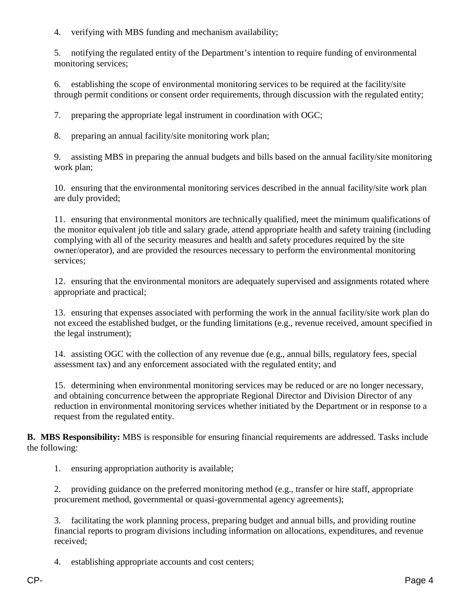4. verifying with MBS funding and mechanism availability;

5. notifying the regulated entity of the Department's intention to require funding of environmental monitoring services;

6. establishing the scope of environmental monitoring services to be required at the facility/site through permit conditions or consent order requirements, through discussion with the regulated entity;

7. preparing the appropriate legal instrument in coordination with OGC;

8. preparing an annual facility/site monitoring work plan;

9. assisting MBS in preparing the annual budgets and bills based on the annual facility/site monitoring work plan;

10. ensuring that the environmental monitoring services described in the annual facility/site work plan are duly provided;

11. ensuring that environmental monitors are technically qualified, meet the minimum qualifications of the monitor equivalent job title and salary grade, attend appropriate health and safety training (including complying with all of the security measures and health and safety procedures required by the site owner/operator), and are provided the resources necessary to perform the environmental monitoring services;

12. ensuring that the environmental monitors are adequately supervised and assignments rotated where appropriate and practical;

13. ensuring that expenses associated with performing the work in the annual facility/site work plan do not exceed the established budget, or the funding limitations (e.g., revenue received, amount specified in the legal instrument);

14. assisting OGC with the collection of any revenue due (e.g., annual bills, regulatory fees, special assessment tax) and any enforcement associated with the regulated entity; and

15. determining when environmental monitoring services may be reduced or are no longer necessary, and obtaining concurrence between the appropriate Regional Director and Division Director of any reduction in environmental monitoring services whether initiated by the Department or in response to a request from the regulated entity.

**B. MBS Responsibility:** MBS is responsible for ensuring financial requirements are addressed. Tasks include the following:

1. ensuring appropriation authority is available;

2. providing guidance on the preferred monitoring method (e.g., transfer or hire staff, appropriate procurement method, governmental or quasi-governmental agency agreements);

3. facilitating the work planning process, preparing budget and annual bills, and providing routine financial reports to program divisions including information on allocations, expenditures, and revenue received;

4. establishing appropriate accounts and cost centers;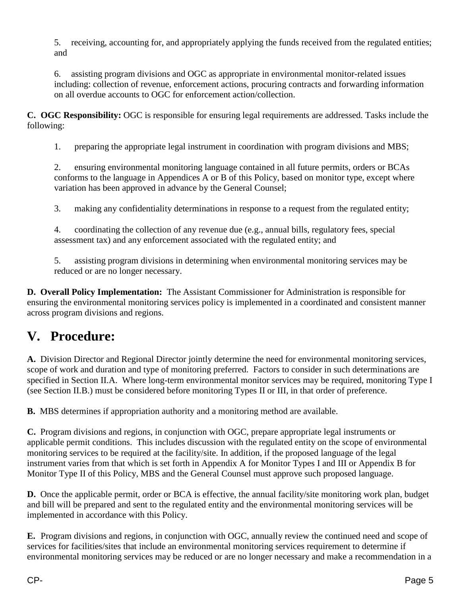5. receiving, accounting for, and appropriately applying the funds received from the regulated entities; and

6. assisting program divisions and OGC as appropriate in environmental monitor-related issues including: collection of revenue, enforcement actions, procuring contracts and forwarding information on all overdue accounts to OGC for enforcement action/collection.

**C. OGC Responsibility:** OGC is responsible for ensuring legal requirements are addressed. Tasks include the following:

1. preparing the appropriate legal instrument in coordination with program divisions and MBS;

2. ensuring environmental monitoring language contained in all future permits, orders or BCAs conforms to the language in Appendices A or B of this Policy, based on monitor type, except where variation has been approved in advance by the General Counsel;

3. making any confidentiality determinations in response to a request from the regulated entity;

4. coordinating the collection of any revenue due (e.g., annual bills, regulatory fees, special assessment tax) and any enforcement associated with the regulated entity; and

5. assisting program divisions in determining when environmental monitoring services may be reduced or are no longer necessary.

**D. Overall Policy Implementation:** The Assistant Commissioner for Administration is responsible for ensuring the environmental monitoring services policy is implemented in a coordinated and consistent manner across program divisions and regions.

## **V. Procedure:**

**A.** Division Director and Regional Director jointly determine the need for environmental monitoring services, scope of work and duration and type of monitoring preferred. Factors to consider in such determinations are specified in Section II.A. Where long-term environmental monitor services may be required, monitoring Type I (see Section II.B.) must be considered before monitoring Types II or III, in that order of preference.

**B.** MBS determines if appropriation authority and a monitoring method are available.

**C.** Program divisions and regions, in conjunction with OGC, prepare appropriate legal instruments or applicable permit conditions. This includes discussion with the regulated entity on the scope of environmental monitoring services to be required at the facility/site. In addition, if the proposed language of the legal instrument varies from that which is set forth in Appendix A for Monitor Types I and III or Appendix B for Monitor Type II of this Policy, MBS and the General Counsel must approve such proposed language.

**D.** Once the applicable permit, order or BCA is effective, the annual facility/site monitoring work plan, budget and bill will be prepared and sent to the regulated entity and the environmental monitoring services will be implemented in accordance with this Policy.

**E.** Program divisions and regions, in conjunction with OGC, annually review the continued need and scope of services for facilities/sites that include an environmental monitoring services requirement to determine if environmental monitoring services may be reduced or are no longer necessary and make a recommendation in a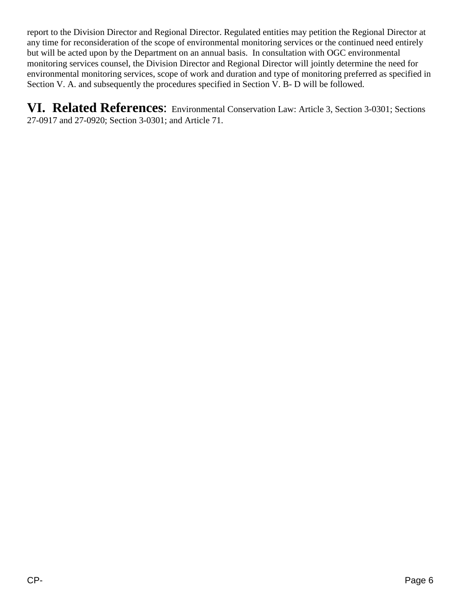report to the Division Director and Regional Director. Regulated entities may petition the Regional Director at any time for reconsideration of the scope of environmental monitoring services or the continued need entirely but will be acted upon by the Department on an annual basis. In consultation with OGC environmental monitoring services counsel, the Division Director and Regional Director will jointly determine the need for environmental monitoring services, scope of work and duration and type of monitoring preferred as specified in Section V. A. and subsequently the procedures specified in Section V. B- D will be followed.

**VI. Related References**: Environmental Conservation Law: Article 3, Section 3-0301; Sections 27-0917 and 27-0920; Section 3-0301; and Article 71.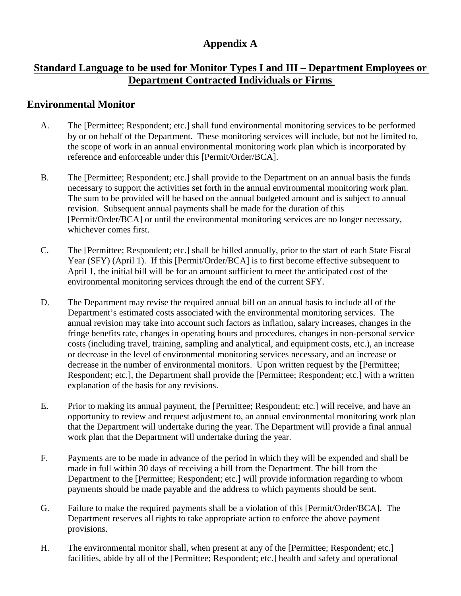## **Appendix A**

#### **Standard Language to be used for Monitor Types I and III – Department Employees or Department Contracted Individuals or Firms**

#### **Environmental Monitor**

- A. The [Permittee; Respondent; etc.] shall fund environmental monitoring services to be performed by or on behalf of the Department. These monitoring services will include, but not be limited to, the scope of work in an annual environmental monitoring work plan which is incorporated by reference and enforceable under this [Permit/Order/BCA].
- B. The [Permittee; Respondent; etc.] shall provide to the Department on an annual basis the funds necessary to support the activities set forth in the annual environmental monitoring work plan. The sum to be provided will be based on the annual budgeted amount and is subject to annual revision. Subsequent annual payments shall be made for the duration of this [Permit/Order/BCA] or until the environmental monitoring services are no longer necessary, whichever comes first.
- C. The [Permittee; Respondent; etc.] shall be billed annually, prior to the start of each State Fiscal Year (SFY) (April 1). If this [Permit/Order/BCA] is to first become effective subsequent to April 1, the initial bill will be for an amount sufficient to meet the anticipated cost of the environmental monitoring services through the end of the current SFY.
- D. The Department may revise the required annual bill on an annual basis to include all of the Department's estimated costs associated with the environmental monitoring services. The annual revision may take into account such factors as inflation, salary increases, changes in the fringe benefits rate, changes in operating hours and procedures, changes in non-personal service costs (including travel, training, sampling and analytical, and equipment costs, etc.), an increase or decrease in the level of environmental monitoring services necessary, and an increase or decrease in the number of environmental monitors. Upon written request by the [Permittee; Respondent; etc.], the Department shall provide the [Permittee; Respondent; etc.] with a written explanation of the basis for any revisions.
- E. Prior to making its annual payment, the [Permittee; Respondent; etc.] will receive, and have an opportunity to review and request adjustment to, an annual environmental monitoring work plan that the Department will undertake during the year. The Department will provide a final annual work plan that the Department will undertake during the year.
- F. Payments are to be made in advance of the period in which they will be expended and shall be made in full within 30 days of receiving a bill from the Department. The bill from the Department to the [Permittee; Respondent; etc.] will provide information regarding to whom payments should be made payable and the address to which payments should be sent.
- G. Failure to make the required payments shall be a violation of this [Permit/Order/BCA]. The Department reserves all rights to take appropriate action to enforce the above payment provisions.
- H. The environmental monitor shall, when present at any of the [Permittee; Respondent; etc.] facilities, abide by all of the [Permittee; Respondent; etc.] health and safety and operational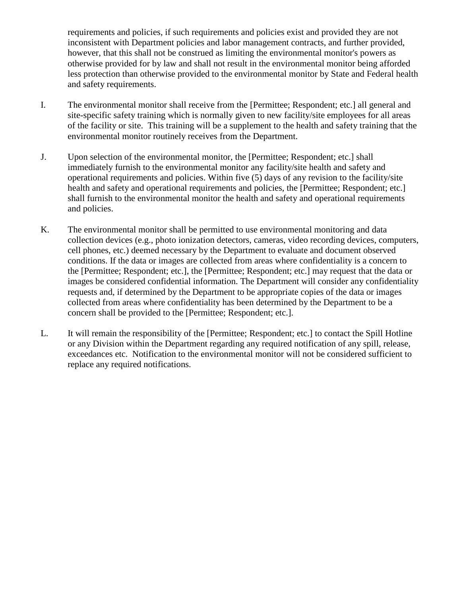requirements and policies, if such requirements and policies exist and provided they are not inconsistent with Department policies and labor management contracts, and further provided, however, that this shall not be construed as limiting the environmental monitor's powers as otherwise provided for by law and shall not result in the environmental monitor being afforded less protection than otherwise provided to the environmental monitor by State and Federal health and safety requirements.

- I. The environmental monitor shall receive from the [Permittee; Respondent; etc.] all general and site-specific safety training which is normally given to new facility/site employees for all areas of the facility or site. This training will be a supplement to the health and safety training that the environmental monitor routinely receives from the Department.
- J. Upon selection of the environmental monitor, the [Permittee; Respondent; etc.] shall immediately furnish to the environmental monitor any facility/site health and safety and operational requirements and policies. Within five (5) days of any revision to the facility/site health and safety and operational requirements and policies, the [Permittee; Respondent; etc.] shall furnish to the environmental monitor the health and safety and operational requirements and policies.
- K. The environmental monitor shall be permitted to use environmental monitoring and data collection devices (e.g., photo ionization detectors, cameras, video recording devices, computers, cell phones, etc.) deemed necessary by the Department to evaluate and document observed conditions. If the data or images are collected from areas where confidentiality is a concern to the [Permittee; Respondent; etc.], the [Permittee; Respondent; etc.] may request that the data or images be considered confidential information. The Department will consider any confidentiality requests and, if determined by the Department to be appropriate copies of the data or images collected from areas where confidentiality has been determined by the Department to be a concern shall be provided to the [Permittee; Respondent; etc.].
- L. It will remain the responsibility of the [Permittee; Respondent; etc.] to contact the Spill Hotline or any Division within the Department regarding any required notification of any spill, release, exceedances etc. Notification to the environmental monitor will not be considered sufficient to replace any required notifications.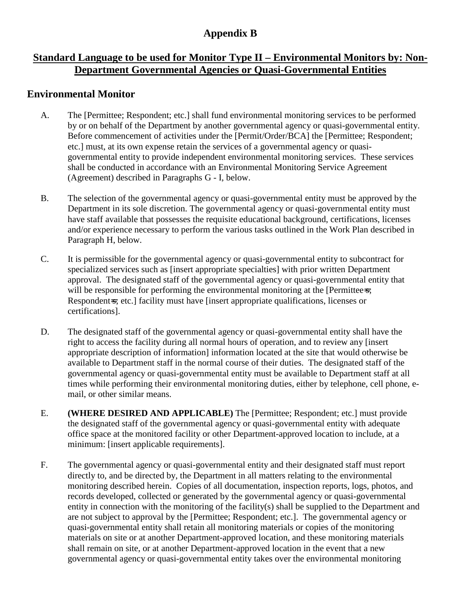## **Appendix B**

## **Standard Language to be used for Monitor Type II – Environmental Monitors by: Non-Department Governmental Agencies or Quasi-Governmental Entities**

#### **Environmental Monitor**

- A. The [Permittee; Respondent; etc.] shall fund environmental monitoring services to be performed by or on behalf of the Department by another governmental agency or quasi-governmental entity. Before commencement of activities under the [Permit/Order/BCA] the [Permittee; Respondent; etc.] must, at its own expense retain the services of a governmental agency or quasigovernmental entity to provide independent environmental monitoring services. These services shall be conducted in accordance with an Environmental Monitoring Service Agreement (Agreement) described in Paragraphs G - I, below.
- B. The selection of the governmental agency or quasi-governmental entity must be approved by the Department in its sole discretion. The governmental agency or quasi-governmental entity must have staff available that possesses the requisite educational background, certifications, licenses and/or experience necessary to perform the various tasks outlined in the Work Plan described in Paragraph H, below.
- C. It is permissible for the governmental agency or quasi-governmental entity to subcontract for specialized services such as [insert appropriate specialties] with prior written Department approval. The designated staff of the governmental agency or quasi-governmental entity that will be responsible for performing the environmental monitoring at the [Permittee-s; Respondent-s; etc.] facility must have [insert appropriate qualifications, licenses or certifications].
- D. The designated staff of the governmental agency or quasi-governmental entity shall have the right to access the facility during all normal hours of operation, and to review any [insert appropriate description of information] information located at the site that would otherwise be available to Department staff in the normal course of their duties. The designated staff of the governmental agency or quasi-governmental entity must be available to Department staff at all times while performing their environmental monitoring duties, either by telephone, cell phone, email, or other similar means.
- E. **(WHERE DESIRED AND APPLICABLE)** The [Permittee; Respondent; etc.] must provide the designated staff of the governmental agency or quasi-governmental entity with adequate office space at the monitored facility or other Department-approved location to include, at a minimum: [insert applicable requirements].
- F. The governmental agency or quasi-governmental entity and their designated staff must report directly to, and be directed by, the Department in all matters relating to the environmental monitoring described herein. Copies of all documentation, inspection reports, logs, photos, and records developed, collected or generated by the governmental agency or quasi-governmental entity in connection with the monitoring of the facility(s) shall be supplied to the Department and are not subject to approval by the [Permittee; Respondent; etc.]. The governmental agency or quasi-governmental entity shall retain all monitoring materials or copies of the monitoring materials on site or at another Department-approved location, and these monitoring materials shall remain on site, or at another Department-approved location in the event that a new governmental agency or quasi-governmental entity takes over the environmental monitoring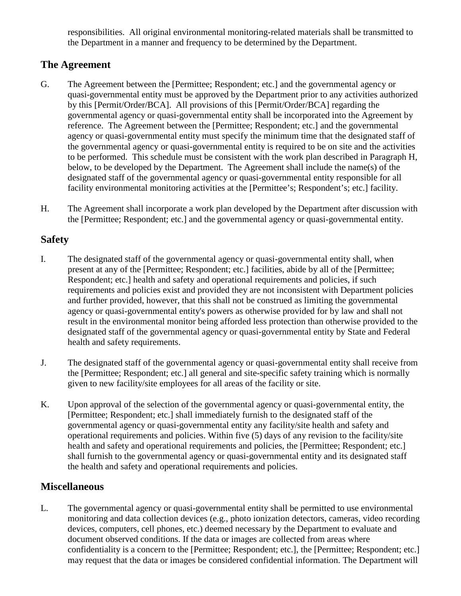responsibilities. All original environmental monitoring-related materials shall be transmitted to the Department in a manner and frequency to be determined by the Department.

## **The Agreement**

- G. The Agreement between the [Permittee; Respondent; etc.] and the governmental agency or quasi-governmental entity must be approved by the Department prior to any activities authorized by this [Permit/Order/BCA]. All provisions of this [Permit/Order/BCA] regarding the governmental agency or quasi-governmental entity shall be incorporated into the Agreement by reference. The Agreement between the [Permittee; Respondent; etc.] and the governmental agency or quasi-governmental entity must specify the minimum time that the designated staff of the governmental agency or quasi-governmental entity is required to be on site and the activities to be performed. This schedule must be consistent with the work plan described in Paragraph H, below, to be developed by the Department. The Agreement shall include the name(s) of the designated staff of the governmental agency or quasi-governmental entity responsible for all facility environmental monitoring activities at the [Permittee's; Respondent's; etc.] facility.
- H. The Agreement shall incorporate a work plan developed by the Department after discussion with the [Permittee; Respondent; etc.] and the governmental agency or quasi-governmental entity.

### **Safety**

- I. The designated staff of the governmental agency or quasi-governmental entity shall, when present at any of the [Permittee; Respondent; etc.] facilities, abide by all of the [Permittee; Respondent; etc.] health and safety and operational requirements and policies, if such requirements and policies exist and provided they are not inconsistent with Department policies and further provided, however, that this shall not be construed as limiting the governmental agency or quasi-governmental entity's powers as otherwise provided for by law and shall not result in the environmental monitor being afforded less protection than otherwise provided to the designated staff of the governmental agency or quasi-governmental entity by State and Federal health and safety requirements.
- J. The designated staff of the governmental agency or quasi-governmental entity shall receive from the [Permittee; Respondent; etc.] all general and site-specific safety training which is normally given to new facility/site employees for all areas of the facility or site.
- K. Upon approval of the selection of the governmental agency or quasi-governmental entity, the [Permittee; Respondent; etc.] shall immediately furnish to the designated staff of the governmental agency or quasi-governmental entity any facility/site health and safety and operational requirements and policies. Within five (5) days of any revision to the facility/site health and safety and operational requirements and policies, the [Permittee; Respondent; etc.] shall furnish to the governmental agency or quasi-governmental entity and its designated staff the health and safety and operational requirements and policies.

#### **Miscellaneous**

L. The governmental agency or quasi-governmental entity shall be permitted to use environmental monitoring and data collection devices (e.g., photo ionization detectors, cameras, video recording devices, computers, cell phones, etc.) deemed necessary by the Department to evaluate and document observed conditions. If the data or images are collected from areas where confidentiality is a concern to the [Permittee; Respondent; etc.], the [Permittee; Respondent; etc.] may request that the data or images be considered confidential information. The Department will